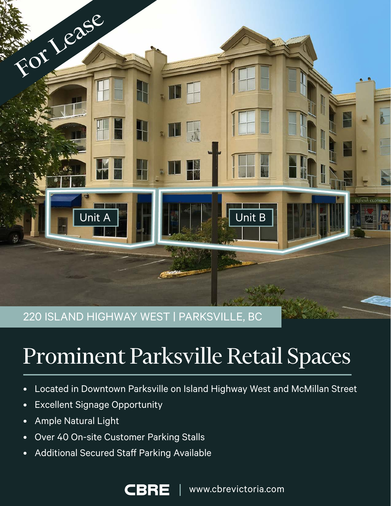

220 ISLAND HIGHWAY WEST | PARKSVILLE, BC

# Prominent Parksville Retail Spaces

- Located in Downtown Parksville on Island Highway West and McMillan Street
- Excellent Signage Opportunity
- Ample Natural Light
- Over 40 On-site Customer Parking Stalls
- Additional Secured Staff Parking Available

CBR

www.cbrevictoria.com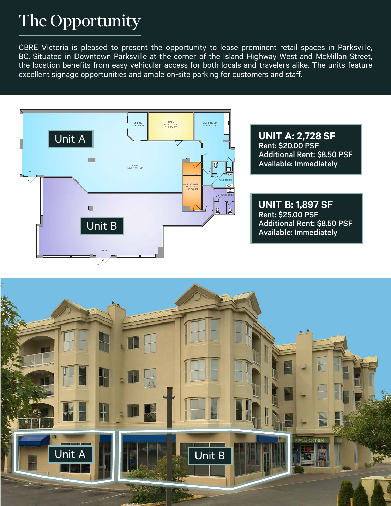# The Opportunity

CBRE Victoria is pleased to present the opportunity to lease prominent retail spaces in Parksville, BC. Situated in Downtown Parksville at the corner of the Island Highway West and McMillan Street, the location benefits from easy vehicular access for both locals and travelers alike. The units feature excellent signage opportunities and ample on-site parking for customers and staff.



Rent: \$20.00 PSF Additional Rent: \$8.50 PSF **UNIT A: 2,728 SF** Available: Immediately

8'-6" X 6'-7"

**UNIT B: 1,897 SF** Rent: \$25.00 PSF Additional Rent: \$8.50 PSF Available: Immediately